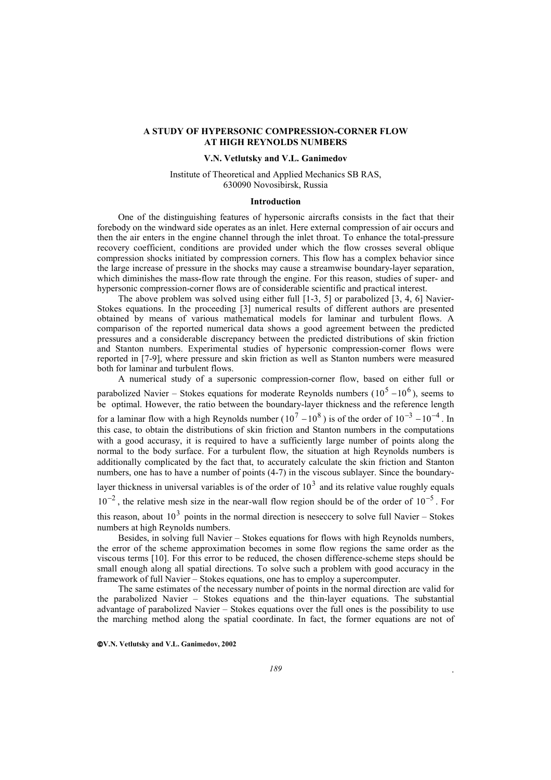# **A STUDY OF HYPERSONIC COMPRESSION-CORNER FLOW AT HIGH REYNOLDS NUMBERS**

# **V.N. Vetlutsky and V.L. Ganimedov**

## Institute of Theoretical and Applied Mechanics SB RAS, 630090 Novosibirsk, Russia

### **Introduction**

One of the distinguishing features of hypersonic aircrafts consists in the fact that their forebody on the windward side operates as an inlet. Here external compression of air occurs and then the air enters in the engine channel through the inlet throat. To enhance the total-pressure recovery coefficient, conditions are provided under which the flow crosses several oblique compression shocks initiated by compression corners. This flow has a complex behavior since the large increase of pressure in the shocks may cause a streamwise boundary-layer separation, which diminishes the mass-flow rate through the engine. For this reason, studies of super- and hypersonic compression-corner flows are of considerable scientific and practical interest.

The above problem was solved using either full  $[1-3, 5]$  or parabolized  $[3, 4, 6]$  Navier-Stokes equations. In the proceeding [3] numerical results of different authors are presented obtained by means of various mathematical models for laminar and turbulent flows. A comparison of the reported numerical data shows a good agreement between the predicted pressures and a considerable discrepancy between the predicted distributions of skin friction and Stanton numbers. Experimental studies of hypersonic compression-corner flows were reported in [7-9], where pressure and skin friction as well as Stanton numbers were measured both for laminar and turbulent flows.

A numerical study of a supersonic compression-corner flow, based on either full or parabolized Navier – Stokes equations for moderate Reynolds numbers ( $10^5 - 10^6$ ), seems to be optimal. However, the ratio between the boundary-layer thickness and the reference length for a laminar flow with a high Reynolds number ( $10^7 - 10^8$ ) is of the order of  $10^{-3} - 10^{-4}$ . In this case, to obtain the distributions of skin friction and Stanton numbers in the computations with a good accurasy, it is required to have a sufficiently large number of points along the normal to the body surface. For a turbulent flow, the situation at high Reynolds numbers is additionally complicated by the fact that, to accurately calculate the skin friction and Stanton numbers, one has to have a number of points (4-7) in the viscous sublayer. Since the boundarylayer thickness in universal variables is of the order of  $10<sup>3</sup>$  and its relative value roughly equals

 $10^{-2}$ , the relative mesh size in the near-wall flow region should be of the order of  $10^{-5}$ . For

this reason, about  $10<sup>3</sup>$  points in the normal direction is neseccery to solve full Navier – Stokes numbers at high Reynolds numbers.

Besides, in solving full Navier – Stokes equations for flows with high Reynolds numbers, the error of the scheme approximation becomes in some flow regions the same order as the viscous terms [10]. For this error to be reduced, the chosen difference-scheme steps should be small enough along all spatial directions. To solve such a problem with good accuracy in the framework of full Navier – Stokes equations, one has to employ a supercomputer.

The same estimates of the necessary number of points in the normal direction are valid for the parabolized Navier – Stokes equations and the thin-layer equations. The substantial advantage of parabolized Navier – Stokes equations over the full ones is the possibility to use the marching method along the spatial coordinate. In fact, the former equations are not of

**V.N. Vetlutsky and V.L. Ganimedov, 2002**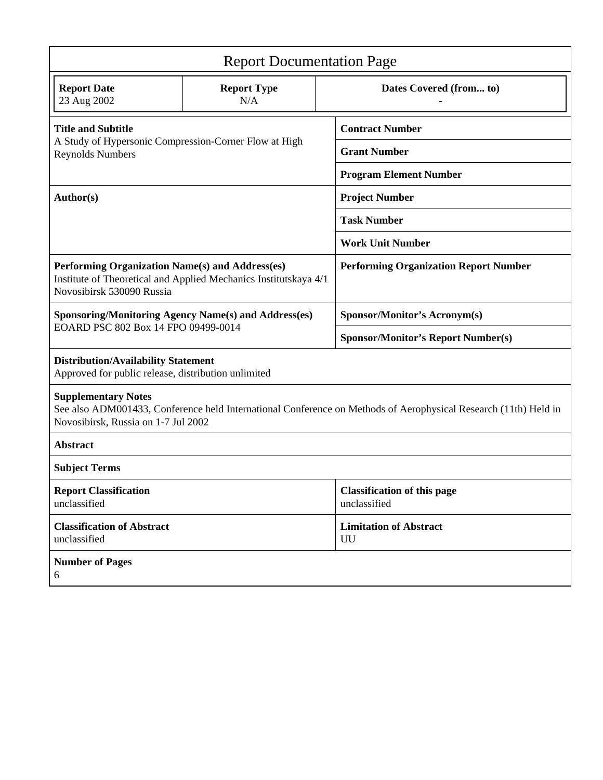| <b>Report Documentation Page</b>                                                                                                                                                     |                           |                                                    |
|--------------------------------------------------------------------------------------------------------------------------------------------------------------------------------------|---------------------------|----------------------------------------------------|
| <b>Report Date</b><br>23 Aug 2002                                                                                                                                                    | <b>Report Type</b><br>N/A | Dates Covered (from to)                            |
| <b>Title and Subtitle</b><br>A Study of Hypersonic Compression-Corner Flow at High<br><b>Reynolds Numbers</b>                                                                        |                           | <b>Contract Number</b>                             |
|                                                                                                                                                                                      |                           | <b>Grant Number</b>                                |
|                                                                                                                                                                                      |                           | <b>Program Element Number</b>                      |
| Author(s)                                                                                                                                                                            |                           | <b>Project Number</b>                              |
|                                                                                                                                                                                      |                           | <b>Task Number</b>                                 |
|                                                                                                                                                                                      |                           | <b>Work Unit Number</b>                            |
| Performing Organization Name(s) and Address(es)<br>Institute of Theoretical and Applied Mechanics Institutskaya 4/1<br>Novosibirsk 530090 Russia                                     |                           | <b>Performing Organization Report Number</b>       |
| <b>Sponsoring/Monitoring Agency Name(s) and Address(es)</b><br>EOARD PSC 802 Box 14 FPO 09499-0014                                                                                   |                           | <b>Sponsor/Monitor's Acronym(s)</b>                |
|                                                                                                                                                                                      |                           | <b>Sponsor/Monitor's Report Number(s)</b>          |
| <b>Distribution/Availability Statement</b><br>Approved for public release, distribution unlimited                                                                                    |                           |                                                    |
| <b>Supplementary Notes</b><br>See also ADM001433, Conference held International Conference on Methods of Aerophysical Research (11th) Held in<br>Novosibirsk, Russia on 1-7 Jul 2002 |                           |                                                    |
| Abstract                                                                                                                                                                             |                           |                                                    |
| <b>Subject Terms</b>                                                                                                                                                                 |                           |                                                    |
| <b>Report Classification</b><br>unclassified                                                                                                                                         |                           | <b>Classification of this page</b><br>unclassified |
| <b>Classification of Abstract</b><br>unclassified                                                                                                                                    |                           | <b>Limitation of Abstract</b><br>UU                |
| <b>Number of Pages</b><br>6                                                                                                                                                          |                           |                                                    |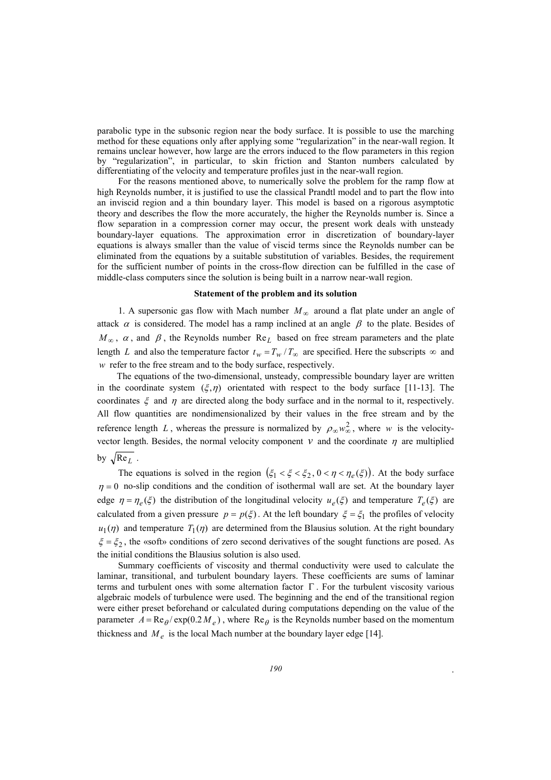parabolic type in the subsonic region near the body surface. It is possible to use the marching method for these equations only after applying some "regularization" in the near-wall region. It remains unclear however, how large are the errors induced to the flow parameters in this region by "regularization", in particular, to skin friction and Stanton numbers calculated by differentiating of the velocity and temperature profiles just in the near-wall region.

For the reasons mentioned above, to numerically solve the problem for the ramp flow at high Reynolds number, it is justified to use the classical Prandtl model and to part the flow into an inviscid region and a thin boundary layer. This model is based on a rigorous asymptotic theory and describes the flow the more accurately, the higher the Reynolds number is. Since a flow separation in a compression corner may occur, the present work deals with unsteady boundary-layer equations. The approximation error in discretization of boundary-layer equations is always smaller than the value of viscid terms since the Reynolds number can be eliminated from the equations by a suitable substitution of variables. Besides, the requirement for the sufficient number of points in the cross-flow direction can be fulfilled in the case of middle-class computers since the solution is being built in a narrow near-wall region.

## **Statement of the problem and its solution**

1. A supersonic gas flow with Mach number  $M_{\infty}$  around a flat plate under an angle of attack  $\alpha$  is considered. The model has a ramp inclined at an angle  $\beta$  to the plate. Besides of  $M_{\infty}$ ,  $\alpha$ , and  $\beta$ , the Reynolds number Re<sub>L</sub> based on free stream parameters and the plate length *L* and also the temperature factor  $t_w = T_w / T_\infty$  are specified. Here the subscripts  $\infty$  and *w* refer to the free stream and to the body surface, respectively.

The equations of the two-dimensional, unsteady, compressible boundary layer are written in the coordinate system  $(\xi, \eta)$  orientated with respect to the body surface [11-13]. The coordinates  $\xi$  and  $\eta$  are directed along the body surface and in the normal to it, respectively. All flow quantities are nondimensionalized by their values in the free stream and by the reference length *L*, whereas the pressure is normalized by  $\rho_{\infty} w_{\infty}^2$ , where *w* is the velocityvector length. Besides, the normal velocity component  $v$  and the coordinate  $\eta$  are multiplied by  $\sqrt{\text{Re}_L}$ .

The equations is solved in the region  $(\xi_1 < \xi < \xi_2, 0 < \eta < \eta_e(\xi))$ . At the body surface  $\eta = 0$  no-slip conditions and the condition of isothermal wall are set. At the boundary layer edge  $\eta = \eta_e(\xi)$  the distribution of the longitudinal velocity  $u_e(\xi)$  and temperature  $T_e(\xi)$  are calculated from a given pressure  $p = p(\xi)$ . At the left boundary  $\xi = \xi_1$  the profiles of velocity  $u_1(\eta)$  and temperature  $T_1(\eta)$  are determined from the Blausius solution. At the right boundary  $\xi = \xi_2$ , the «soft» conditions of zero second derivatives of the sought functions are posed. As the initial conditions the Blausius solution is also used.

Summary coefficients of viscosity and thermal conductivity were used to calculate the laminar, transitional, and turbulent boundary layers. These coefficients are sums of laminar terms and turbulent ones with some alternation factor  $\Gamma$ . For the turbulent viscosity various algebraic models of turbulence were used. The beginning and the end of the transitional region were either preset beforehand or calculated during computations depending on the value of the parameter  $A = \text{Re}_{\theta}/\text{exp}(0.2 M_e)$ , where  $\text{Re}_{\theta}$  is the Reynolds number based on the momentum thickness and  $M_e$  is the local Mach number at the boundary layer edge [14].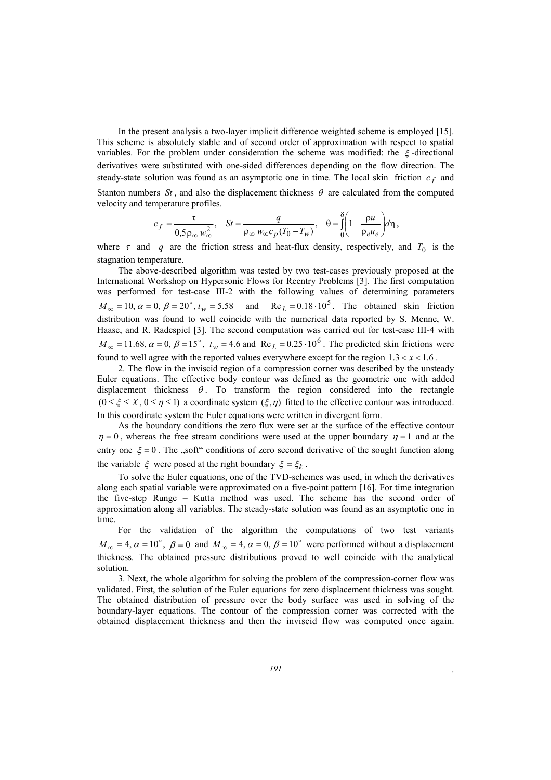In the present analysis a two-layer implicit difference weighted scheme is employed [15]. This scheme is absolutely stable and of second order of approximation with respect to spatial variables. For the problem under consideration the scheme was modified: the  $\xi$ -directional derivatives were substituted with one-sided differences depending on the flow direction. The steady-state solution was found as an asymptotic one in time. The local skin friction  $c_f$  and Stanton numbers  $St$ , and also the displacement thickness  $\theta$  are calculated from the computed velocity and temperature profiles.

$$
c_f = \frac{\tau}{0.5 \rho_\infty w_\infty^2}, \quad St = \frac{q}{\rho_\infty w_\infty c_p (T_0 - T_w)}, \quad \theta = \int_0^\delta \left(1 - \frac{\rho u}{\rho_e u_e}\right) d\eta,
$$

where  $\tau$  and  $q$  are the friction stress and heat-flux density, respectively, and  $T_0$  is the stagnation temperature.

The above-described algorithm was tested by two test-cases previously proposed at the International Workshop on Hypersonic Flows for Reentry Problems [3]. The first computation was performed for test-case III-2 with the following values of determining parameters  $M_{\infty} = 10$ ,  $\alpha = 0$ ,  $\beta = 20^{\circ}$ ,  $t_w = 5.58$  and  $Re_L = 0.18 \cdot 10^5$ . The obtained skin friction distribution was found to well coincide with the numerical data reported by S. Menne, W. Haase, and R. Radespiel [3]. The second computation was carried out for test-case III-4 with  $M_{\infty} = 11.68$ ,  $\alpha = 0$ ,  $\beta = 15^{\circ}$ ,  $t_w = 4.6$  and Re  $L = 0.25 \cdot 10^6$ . The predicted skin frictions were found to well agree with the reported values everywhere except for the region  $1.3 < x < 1.6$ .

2. The flow in the inviscid region of a compression corner was described by the unsteady Euler equations. The effective body contour was defined as the geometric one with added displacement thickness  $\theta$ . To transform the region considered into the rectangle  $(0 \le \xi \le X, 0 \le \eta \le 1)$  a coordinate system  $(\xi, \eta)$  fitted to the effective contour was introduced. In this coordinate system the Euler equations were written in divergent form.

As the boundary conditions the zero flux were set at the surface of the effective contour  $\eta = 0$ , whereas the free stream conditions were used at the upper boundary  $\eta = 1$  and at the entry one  $\xi = 0$ . The "soft" conditions of zero second derivative of the sought function along the variable  $\xi$  were posed at the right boundary  $\xi = \xi_k$ .

To solve the Euler equations, one of the TVD-schemes was used, in which the derivatives along each spatial variable were approximated on a five-point pattern [16]. For time integration the five-step Runge – Kutta method was used. The scheme has the second order of approximation along all variables. The steady-state solution was found as an asymptotic one in time.

For the validation of the algorithm the computations of two test variants  $M_{\infty} = 4$ ,  $\alpha = 10^{\circ}$ ,  $\beta = 0$  and  $M_{\infty} = 4$ ,  $\alpha = 0$ ,  $\beta = 10^{\circ}$  were performed without a displacement thickness. The obtained pressure distributions proved to well coincide with the analytical solution.

3. Next, the whole algorithm for solving the problem of the compression-corner flow was validated. First, the solution of the Euler equations for zero displacement thickness was sought. The obtained distribution of pressure over the body surface was used in solving of the boundary-layer equations. The contour of the compression corner was corrected with the obtained displacement thickness and then the inviscid flow was computed once again.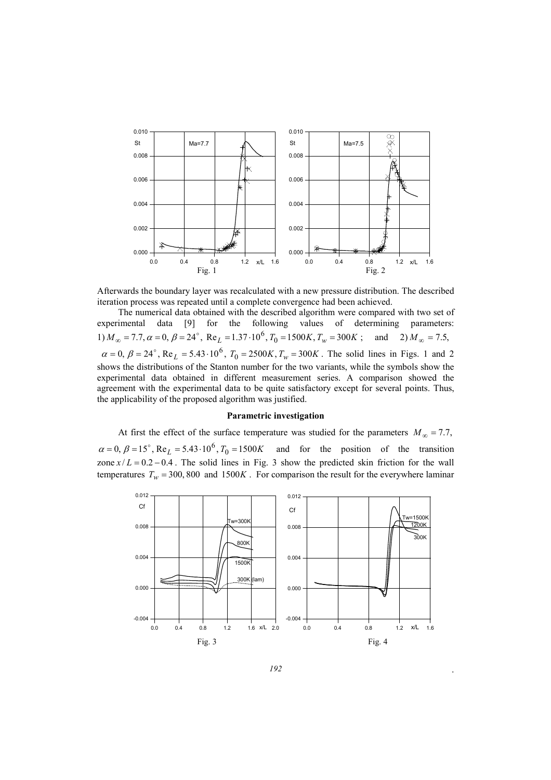

Afterwards the boundary layer was recalculated with a new pressure distribution. The described iteration process was repeated until a complete convergence had been achieved.

The numerical data obtained with the described algorithm were compared with two set of experimental data [9] for the following values of determining parameters: 1)  $M_{\infty} = 7.7$ ,  $\alpha = 0$ ,  $\beta = 24^{\circ}$ ,  $\text{Re}_L = 1.37 \cdot 10^6$ ,  $T_0 = 1500K$ ,  $T_w = 300K$ ; and 2)  $M_{\infty} = 7.5$ ,  $\alpha = 0$ ,  $\beta = 24^{\circ}$ , Re<sub>L</sub> = 5.43 · 10<sup>6</sup>,  $T_0 = 2500K$ ,  $T_w = 300K$ . The solid lines in Figs. 1 and 2 shows the distributions of the Stanton number for the two variants, while the symbols show the experimental data obtained in different measurement series. A comparison showed the agreement with the experimental data to be quite satisfactory except for several points. Thus, the applicability of the proposed algorithm was justified.

## **Parametric investigation**

At first the effect of the surface temperature was studied for the parameters  $M_{\infty} = 7.7$ ,  $\alpha = 0$ ,  $\beta = 15^\circ$ , Re<sub>L</sub> = 5.43  $\cdot 10^6$ ,  $T_0 = 1500K$  and for the position of the transition zone  $x/L = 0.2 - 0.4$ . The solid lines in Fig. 3 show the predicted skin friction for the wall temperatures  $T_w = 300, 800$  and  $1500K$ . For comparison the result for the everywhere laminar

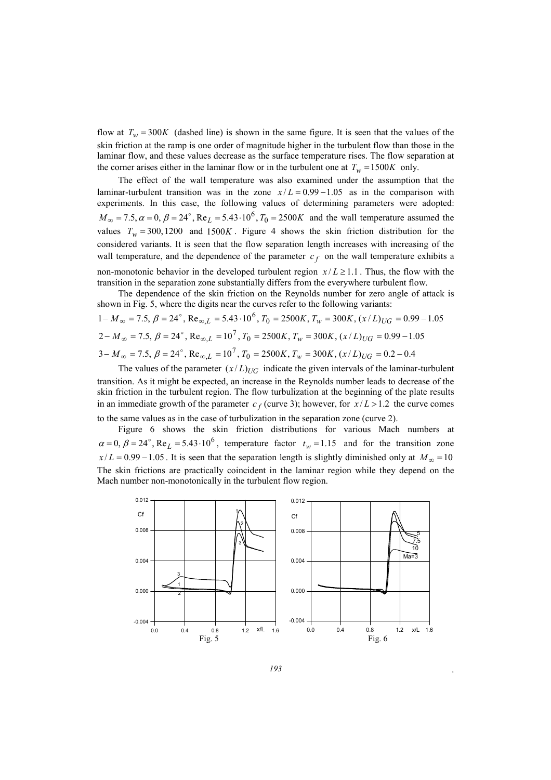flow at  $T_w = 300K$  (dashed line) is shown in the same figure. It is seen that the values of the skin friction at the ramp is one order of magnitude higher in the turbulent flow than those in the laminar flow, and these values decrease as the surface temperature rises. The flow separation at the corner arises either in the laminar flow or in the turbulent one at  $T_w = 1500K$  only.

The effect of the wall temperature was also examined under the assumption that the laminar-turbulent transition was in the zone  $x/L = 0.99 - 1.05$  as in the comparison with experiments. In this case, the following values of determining parameters were adopted:  $M_{\infty} = 7.5, \alpha = 0, \beta = 24^{\circ}, \text{Re}_{L} = 5.43 \cdot 10^{6}, T_{0} = 2500K$  and the wall temperature assumed the values  $T_w = 300, 1200$  and  $1500K$ . Figure 4 shows the skin friction distribution for the considered variants. It is seen that the flow separation length increases with increasing of the wall temperature, and the dependence of the parameter  $c_f$  on the wall temperature exhibits a non-monotonic behavior in the developed turbulent region  $x/L \ge 1.1$ . Thus, the flow with the transition in the separation zone substantially differs from the everywhere turbulent flow.

The dependence of the skin friction on the Reynolds number for zero angle of attack is shown in Fig. 5, where the digits near the curves refer to the following variants:

$$
1 - M_{\infty} = 7.5, \ \beta = 24^{\circ}, \ \text{Re}_{\infty, L} = 5.43 \cdot 10^6, \ T_0 = 2500K, \ T_w = 300K, \ (x/L)_{UG} = 0.99 - 1.05
$$
\n
$$
2 - M_{\infty} = 7.5, \ \beta = 24^{\circ}, \ \text{Re}_{\infty, L} = 10^7, \ T_0 = 2500K, \ T_w = 300K, \ (x/L)_{UG} = 0.99 - 1.05
$$
\n
$$
3 - M_{\infty} = 7.5, \ \beta = 24^{\circ}, \ \text{Re}_{\infty, L} = 10^7, \ T_0 = 2500K, \ T_w = 300K, \ (x/L)_{UG} = 0.2 - 0.4
$$

The values of the parameter  $(x/L)_{UG}$  indicate the given intervals of the laminar-turbulent transition. As it might be expected, an increase in the Reynolds number leads to decrease of the skin friction in the turbulent region. The flow turbulization at the beginning of the plate results in an immediate growth of the parameter  $c_f$  (curve 3); however, for  $x/L > 1.2$  the curve comes to the same values as in the case of turbulization in the separation zone (curve 2).

Figure 6 shows the skin friction distributions for various Mach numbers at  $\alpha = 0$ ,  $\beta = 24^\circ$ , Re<sub>L</sub> = 5.43⋅10<sup>6</sup>, temperature factor  $t_w = 1.15$  and for the transition zone  $x/L = 0.99 - 1.05$ . It is seen that the separation length is slightly diminished only at  $M_{\infty} = 10$ The skin frictions are practically coincident in the laminar region while they depend on the Mach number non-monotonically in the turbulent flow region.